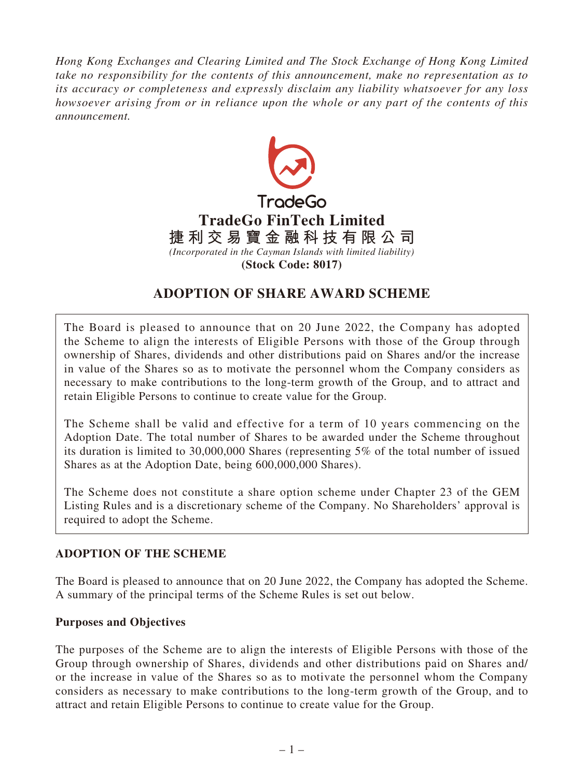*Hong Kong Exchanges and Clearing Limited and The Stock Exchange of Hong Kong Limited take no responsibility for the contents of this announcement, make no representation as to its accuracy or completeness and expressly disclaim any liability whatsoever for any loss howsoever arising from or in reliance upon the whole or any part of the contents of this announcement.*



# **ADOPTION OF SHARE AWARD SCHEME**

The Board is pleased to announce that on 20 June 2022, the Company has adopted the Scheme to align the interests of Eligible Persons with those of the Group through ownership of Shares, dividends and other distributions paid on Shares and/or the increase in value of the Shares so as to motivate the personnel whom the Company considers as necessary to make contributions to the long-term growth of the Group, and to attract and retain Eligible Persons to continue to create value for the Group.

The Scheme shall be valid and effective for a term of 10 years commencing on the Adoption Date. The total number of Shares to be awarded under the Scheme throughout its duration is limited to 30,000,000 Shares (representing 5% of the total number of issued Shares as at the Adoption Date, being 600,000,000 Shares).

The Scheme does not constitute a share option scheme under Chapter 23 of the GEM Listing Rules and is a discretionary scheme of the Company. No Shareholders' approval is required to adopt the Scheme.

## **ADOPTION OF THE SCHEME**

The Board is pleased to announce that on 20 June 2022, the Company has adopted the Scheme. A summary of the principal terms of the Scheme Rules is set out below.

## **Purposes and Objectives**

The purposes of the Scheme are to align the interests of Eligible Persons with those of the Group through ownership of Shares, dividends and other distributions paid on Shares and/ or the increase in value of the Shares so as to motivate the personnel whom the Company considers as necessary to make contributions to the long-term growth of the Group, and to attract and retain Eligible Persons to continue to create value for the Group.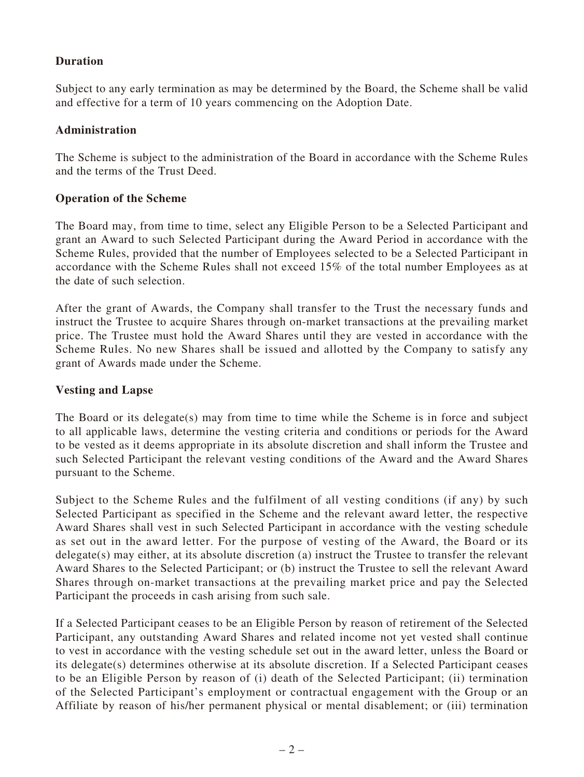## **Duration**

Subject to any early termination as may be determined by the Board, the Scheme shall be valid and effective for a term of 10 years commencing on the Adoption Date.

#### **Administration**

The Scheme is subject to the administration of the Board in accordance with the Scheme Rules and the terms of the Trust Deed.

## **Operation of the Scheme**

The Board may, from time to time, select any Eligible Person to be a Selected Participant and grant an Award to such Selected Participant during the Award Period in accordance with the Scheme Rules, provided that the number of Employees selected to be a Selected Participant in accordance with the Scheme Rules shall not exceed 15% of the total number Employees as at the date of such selection.

After the grant of Awards, the Company shall transfer to the Trust the necessary funds and instruct the Trustee to acquire Shares through on-market transactions at the prevailing market price. The Trustee must hold the Award Shares until they are vested in accordance with the Scheme Rules. No new Shares shall be issued and allotted by the Company to satisfy any grant of Awards made under the Scheme.

#### **Vesting and Lapse**

The Board or its delegate(s) may from time to time while the Scheme is in force and subject to all applicable laws, determine the vesting criteria and conditions or periods for the Award to be vested as it deems appropriate in its absolute discretion and shall inform the Trustee and such Selected Participant the relevant vesting conditions of the Award and the Award Shares pursuant to the Scheme.

Subject to the Scheme Rules and the fulfilment of all vesting conditions (if any) by such Selected Participant as specified in the Scheme and the relevant award letter, the respective Award Shares shall vest in such Selected Participant in accordance with the vesting schedule as set out in the award letter. For the purpose of vesting of the Award, the Board or its delegate(s) may either, at its absolute discretion (a) instruct the Trustee to transfer the relevant Award Shares to the Selected Participant; or (b) instruct the Trustee to sell the relevant Award Shares through on-market transactions at the prevailing market price and pay the Selected Participant the proceeds in cash arising from such sale.

If a Selected Participant ceases to be an Eligible Person by reason of retirement of the Selected Participant, any outstanding Award Shares and related income not yet vested shall continue to vest in accordance with the vesting schedule set out in the award letter, unless the Board or its delegate(s) determines otherwise at its absolute discretion. If a Selected Participant ceases to be an Eligible Person by reason of (i) death of the Selected Participant; (ii) termination of the Selected Participant's employment or contractual engagement with the Group or an Affiliate by reason of his/her permanent physical or mental disablement; or (iii) termination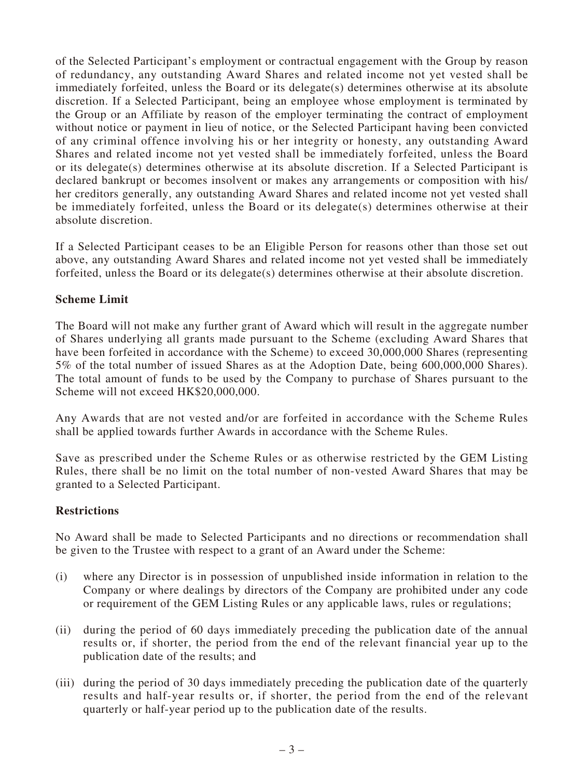of the Selected Participant's employment or contractual engagement with the Group by reason of redundancy, any outstanding Award Shares and related income not yet vested shall be immediately forfeited, unless the Board or its delegate(s) determines otherwise at its absolute discretion. If a Selected Participant, being an employee whose employment is terminated by the Group or an Affiliate by reason of the employer terminating the contract of employment without notice or payment in lieu of notice, or the Selected Participant having been convicted of any criminal offence involving his or her integrity or honesty, any outstanding Award Shares and related income not yet vested shall be immediately forfeited, unless the Board or its delegate(s) determines otherwise at its absolute discretion. If a Selected Participant is declared bankrupt or becomes insolvent or makes any arrangements or composition with his/ her creditors generally, any outstanding Award Shares and related income not yet vested shall be immediately forfeited, unless the Board or its delegate(s) determines otherwise at their absolute discretion.

If a Selected Participant ceases to be an Eligible Person for reasons other than those set out above, any outstanding Award Shares and related income not yet vested shall be immediately forfeited, unless the Board or its delegate(s) determines otherwise at their absolute discretion.

### **Scheme Limit**

The Board will not make any further grant of Award which will result in the aggregate number of Shares underlying all grants made pursuant to the Scheme (excluding Award Shares that have been forfeited in accordance with the Scheme) to exceed 30,000,000 Shares (representing 5% of the total number of issued Shares as at the Adoption Date, being 600,000,000 Shares). The total amount of funds to be used by the Company to purchase of Shares pursuant to the Scheme will not exceed HK\$20,000,000.

Any Awards that are not vested and/or are forfeited in accordance with the Scheme Rules shall be applied towards further Awards in accordance with the Scheme Rules.

Save as prescribed under the Scheme Rules or as otherwise restricted by the GEM Listing Rules, there shall be no limit on the total number of non-vested Award Shares that may be granted to a Selected Participant.

## **Restrictions**

No Award shall be made to Selected Participants and no directions or recommendation shall be given to the Trustee with respect to a grant of an Award under the Scheme:

- (i) where any Director is in possession of unpublished inside information in relation to the Company or where dealings by directors of the Company are prohibited under any code or requirement of the GEM Listing Rules or any applicable laws, rules or regulations;
- (ii) during the period of 60 days immediately preceding the publication date of the annual results or, if shorter, the period from the end of the relevant financial year up to the publication date of the results; and
- (iii) during the period of 30 days immediately preceding the publication date of the quarterly results and half-year results or, if shorter, the period from the end of the relevant quarterly or half-year period up to the publication date of the results.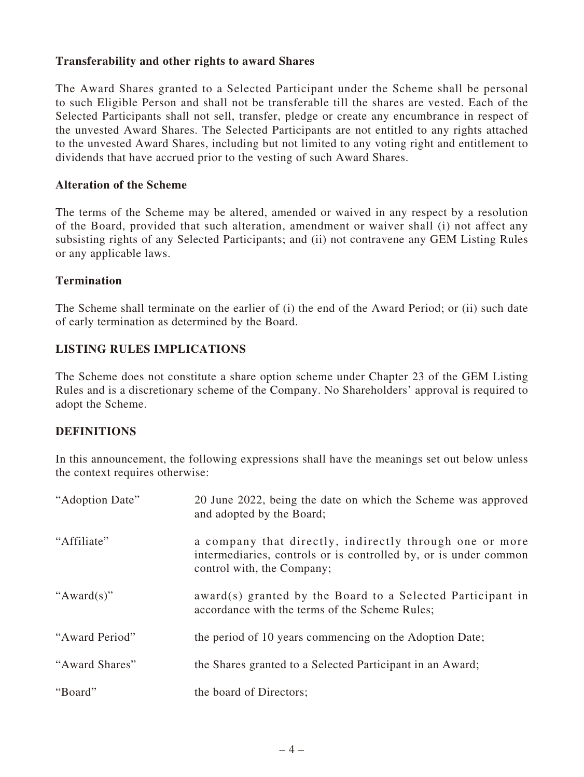## **Transferability and other rights to award Shares**

The Award Shares granted to a Selected Participant under the Scheme shall be personal to such Eligible Person and shall not be transferable till the shares are vested. Each of the Selected Participants shall not sell, transfer, pledge or create any encumbrance in respect of the unvested Award Shares. The Selected Participants are not entitled to any rights attached to the unvested Award Shares, including but not limited to any voting right and entitlement to dividends that have accrued prior to the vesting of such Award Shares.

#### **Alteration of the Scheme**

The terms of the Scheme may be altered, amended or waived in any respect by a resolution of the Board, provided that such alteration, amendment or waiver shall (i) not affect any subsisting rights of any Selected Participants; and (ii) not contravene any GEM Listing Rules or any applicable laws.

### **Termination**

The Scheme shall terminate on the earlier of (i) the end of the Award Period; or (ii) such date of early termination as determined by the Board.

## **LISTING RULES IMPLICATIONS**

The Scheme does not constitute a share option scheme under Chapter 23 of the GEM Listing Rules and is a discretionary scheme of the Company. No Shareholders' approval is required to adopt the Scheme.

#### **DEFINITIONS**

In this announcement, the following expressions shall have the meanings set out below unless the context requires otherwise:

| "Adoption Date" | 20 June 2022, being the date on which the Scheme was approved<br>and adopted by the Board;                                                                |
|-----------------|-----------------------------------------------------------------------------------------------------------------------------------------------------------|
| "Affiliate"     | a company that directly, indirectly through one or more<br>intermediaries, controls or is controlled by, or is under common<br>control with, the Company; |
| " $Award(s)$ "  | award(s) granted by the Board to a Selected Participant in<br>accordance with the terms of the Scheme Rules;                                              |
| "Award Period"  | the period of 10 years commencing on the Adoption Date;                                                                                                   |
| "Award Shares"  | the Shares granted to a Selected Participant in an Award;                                                                                                 |
| "Board"         | the board of Directors;                                                                                                                                   |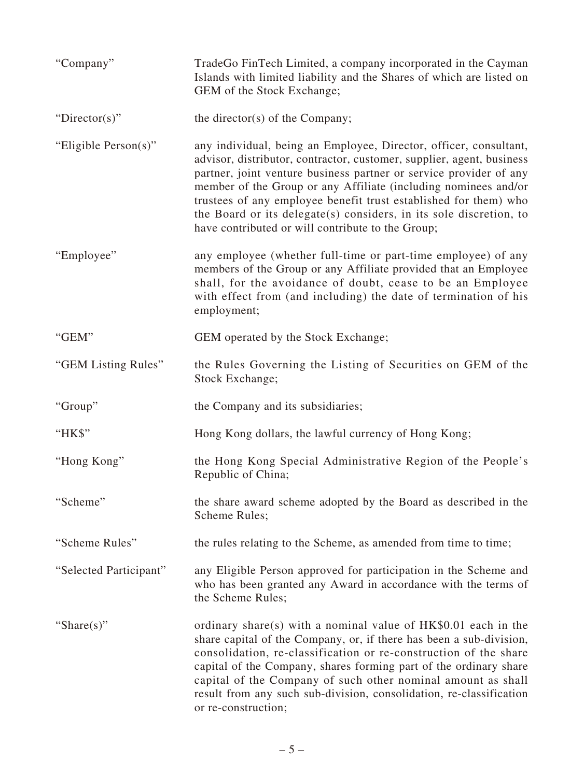| "Company"              | TradeGo FinTech Limited, a company incorporated in the Cayman<br>Islands with limited liability and the Shares of which are listed on<br>GEM of the Stock Exchange;                                                                                                                                                                                                                                                                                                                |
|------------------------|------------------------------------------------------------------------------------------------------------------------------------------------------------------------------------------------------------------------------------------------------------------------------------------------------------------------------------------------------------------------------------------------------------------------------------------------------------------------------------|
| "Director(s)"          | the director(s) of the Company;                                                                                                                                                                                                                                                                                                                                                                                                                                                    |
| "Eligible Person(s)"   | any individual, being an Employee, Director, officer, consultant,<br>advisor, distributor, contractor, customer, supplier, agent, business<br>partner, joint venture business partner or service provider of any<br>member of the Group or any Affiliate (including nominees and/or<br>trustees of any employee benefit trust established for them) who<br>the Board or its delegate(s) considers, in its sole discretion, to<br>have contributed or will contribute to the Group; |
| "Employee"             | any employee (whether full-time or part-time employee) of any<br>members of the Group or any Affiliate provided that an Employee<br>shall, for the avoidance of doubt, cease to be an Employee<br>with effect from (and including) the date of termination of his<br>employment;                                                                                                                                                                                                   |
| "GEM"                  | GEM operated by the Stock Exchange;                                                                                                                                                                                                                                                                                                                                                                                                                                                |
| "GEM Listing Rules"    | the Rules Governing the Listing of Securities on GEM of the<br>Stock Exchange;                                                                                                                                                                                                                                                                                                                                                                                                     |
| "Group"                | the Company and its subsidiaries;                                                                                                                                                                                                                                                                                                                                                                                                                                                  |
| "HK\$"                 | Hong Kong dollars, the lawful currency of Hong Kong;                                                                                                                                                                                                                                                                                                                                                                                                                               |
| "Hong Kong"            | the Hong Kong Special Administrative Region of the People's<br>Republic of China;                                                                                                                                                                                                                                                                                                                                                                                                  |
| "Scheme"               | the share award scheme adopted by the Board as described in the<br>Scheme Rules;                                                                                                                                                                                                                                                                                                                                                                                                   |
| "Scheme Rules"         | the rules relating to the Scheme, as amended from time to time;                                                                                                                                                                                                                                                                                                                                                                                                                    |
| "Selected Participant" | any Eligible Person approved for participation in the Scheme and<br>who has been granted any Award in accordance with the terms of<br>the Scheme Rules;                                                                                                                                                                                                                                                                                                                            |
| "Share $(s)$ "         | ordinary share(s) with a nominal value of $HK$0.01$ each in the<br>share capital of the Company, or, if there has been a sub-division,<br>consolidation, re-classification or re-construction of the share<br>capital of the Company, shares forming part of the ordinary share<br>capital of the Company of such other nominal amount as shall<br>result from any such sub-division, consolidation, re-classification<br>or re-construction;                                      |